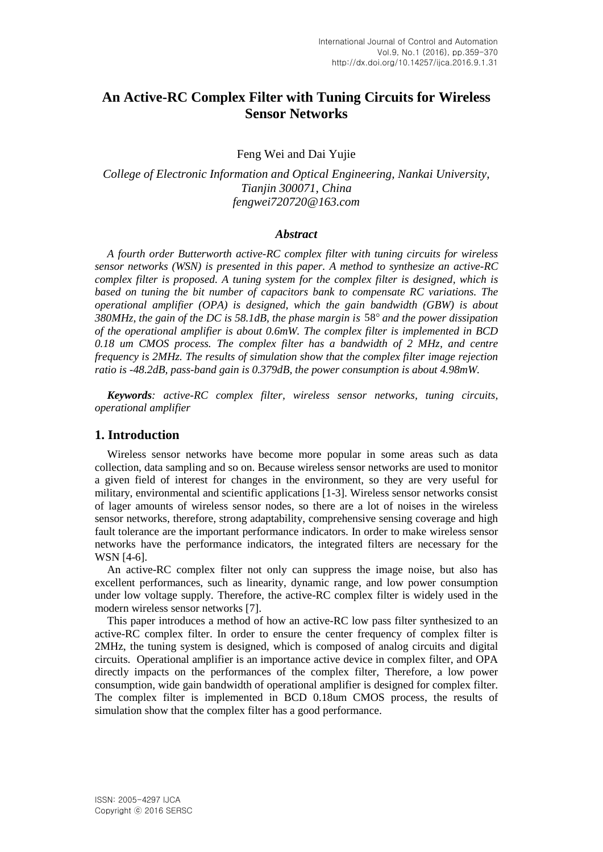# **An Active-RC Complex Filter with Tuning Circuits for Wireless Sensor Networks**

Feng Wei and Dai Yujie

*College of Electronic Information and Optical Engineering, Nankai University, Tianjin 300071, China fengwei720720@163.com*

#### *Abstract*

*A fourth order Butterworth active-RC complex filter with tuning circuits for wireless sensor networks (WSN) is presented in this paper. A method to synthesize an active-RC complex filter is proposed. A tuning system for the complex filter is designed, which is based on tuning the bit number of capacitors bank to compensate RC variations. The operational amplifier (OPA) is designed, which the gain bandwidth (GBW) is about 380MHz, the gain of the DC is 58.1dB, the phase margin is* 58 *and the power dissipation of the operational amplifier is about 0.6mW. The complex filter is implemented in BCD 0.18 um CMOS process. The complex filter has a bandwidth of 2 MHz, and centre frequency is 2MHz. The results of simulation show that the complex filter image rejection ratio is -48.2dB, pass-band gain is 0.379dB, the power consumption is about 4.98mW.* 

*Keywords: active-RC complex filter, wireless sensor networks, tuning circuits, operational amplifier*

#### **1. Introduction**

Wireless sensor networks have become more popular in some areas such as data collection, data sampling and so on. Because wireless sensor networks are used to monitor a given field of interest for changes in the environment, so they are very useful for military, environmental and scientific applications [1-3]. Wireless sensor networks consist of lager amounts of wireless sensor nodes, so there are a lot of noises in the wireless sensor networks, therefore, strong adaptability, comprehensive sensing coverage and high fault tolerance are the important performance indicators. In order to make wireless sensor networks have the performance indicators, the integrated filters are necessary for the WSN [4-6].

An active-RC complex filter not only can suppress the image noise, but also has excellent performances, such as linearity, dynamic range, and low power consumption under low voltage supply. Therefore, the active-RC complex filter is widely used in the modern wireless sensor networks [7].

This paper introduces a method of how an active-RC low pass filter synthesized to an active-RC complex filter. In order to ensure the center frequency of complex filter is 2MHz, the tuning system is designed, which is composed of analog circuits and digital circuits. Operational amplifier is an importance active device in complex filter, and OPA directly impacts on the performances of the complex filter, Therefore, a low power consumption, wide gain bandwidth of operational amplifier is designed for complex filter. The complex filter is implemented in BCD 0.18um CMOS process, the results of simulation show that the complex filter has a good performance.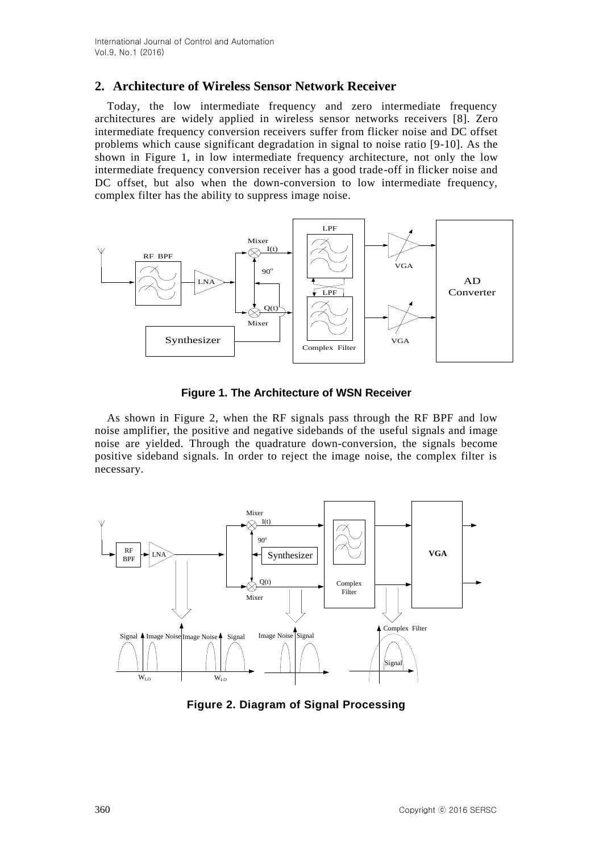# **2. Architecture of Wireless Sensor Network Receiver**

Today, the low intermediate frequency and zero intermediate frequency architectures are widely applied in wireless sensor networks receivers [8]. Zero intermediate frequency conversion receivers suffer from flicker noise and DC offset problems which cause significant degradation in signal to noise ratio [9-10]. As the shown in Figure 1, in low intermediate frequency architecture, not only the low intermediate frequency conversion receiver has a good trade-off in flicker noise and DC offset, but also when the down-conversion to low intermediate frequency, complex filter has the ability to suppress image noise.



**Figure 1. The Architecture of WSN Receiver**

As shown in Figure 2, when the RF signals pass through the RF BPF and low noise amplifier, the positive and negative sidebands of the useful signals and image noise are yielded. Through the quadrature down-conversion, the signals become positive sideband signals. In order to reject the image noise, the complex filter is necessary.



**Figure 2. Diagram of Signal Processing**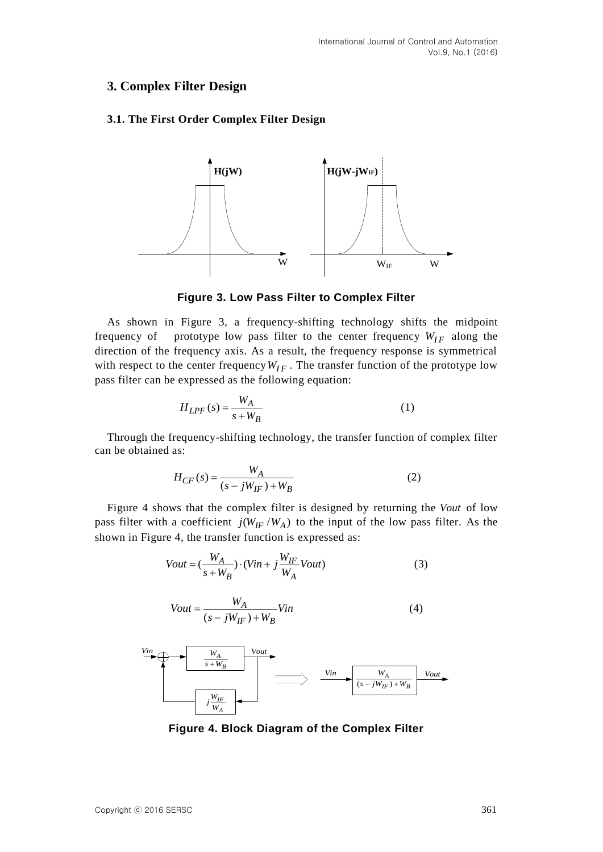# **3. Complex Filter Design**

# **3.1. The First Order Complex Filter Design**



**Figure 3. Low Pass Filter to Complex Filter**

As shown in Figure 3, a frequency-shifting technology shifts the midpoint frequency of prototype low pass filter to the center frequency  $W_{IF}$  along the direction of the frequency axis. As a result, the frequency response is symmetrical with respect to the center frequency  $W_{IF}$ . The transfer function of the prototype low pass filter can be expressed as the following equation:

$$
H_{LPF}(s) = \frac{W_A}{s + W_B} \tag{1}
$$

Through the frequency-shifting technology, the transfer function of complex filter can be obtained as:

$$
H_{CF}(s) = \frac{W_A}{(s - jW_{IF}) + W_B}
$$
 (2)

Figure 4 shows that the complex filter is designed by returning the *Vout* of low pass filter with a coefficient  $j(W_{IF}/W_A)$  to the input of the low pass filter. As the shown in Figure 4, the transfer function is expressed as:

$$
Vout = \left(\frac{W_A}{s + W_B}\right) \cdot \left(Vin + j\frac{W_{IF}}{W_A} Vout\right)
$$
\n(3)

$$
Vout = \frac{W_A}{(s - jW_{IF}) + W_B} Vin \tag{4}
$$



**Figure 4. Block Diagram of the Complex Filter**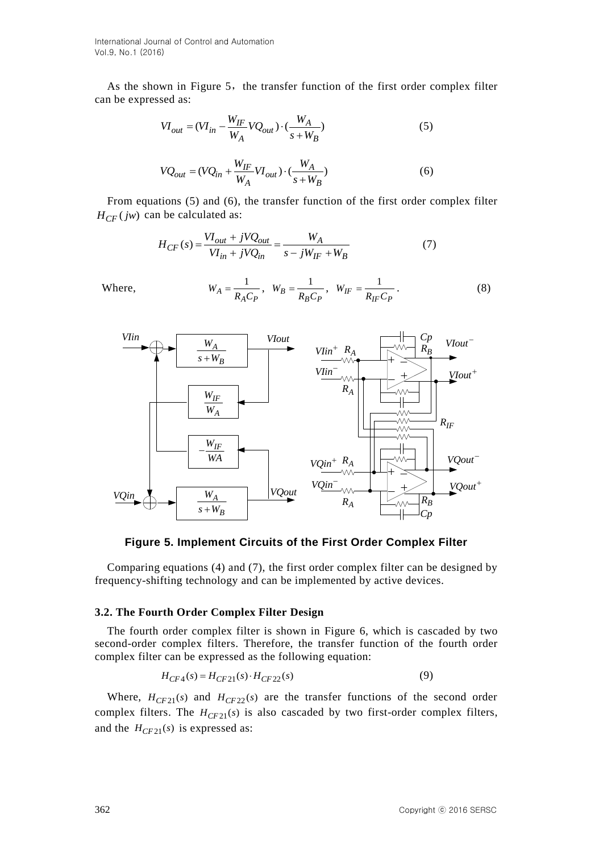International Journal of Control and Automation Vol.9, No.1 (2016)

As the shown in Figure 5, the transfer function of the first order complex filter can be expressed as:

$$
VI_{out} = (VI_{in} - \frac{W_{IF}}{W_A} VQ_{out}) \cdot (\frac{W_A}{s + W_B})
$$
 (5)

$$
VQ_{out} = (VQ_{in} + \frac{W_{IF}}{W_A}VI_{out}) \cdot (\frac{W_A}{s + W_B})
$$
(6)

From equations (5) and (6), the transfer function of the first order complex filter  $H_{CF}(jw)$  can be calculated as:

$$
H_{CF}(s) = \frac{VI_{out} + jVQ_{out}}{VI_{in} + jVQ_{in}} = \frac{W_A}{s - jW_{IF} + W_B}
$$
(7)

$$
W_A = \frac{1}{R_A C_P}, \quad W_B = \frac{1}{R_B C_P}, \quad W_{IF} = \frac{1}{R_{IF} C_P}.
$$
 (8)



**Figure 5. Implement Circuits of the First Order Complex Filter**

Comparing equations (4) and (7), the first order complex filter can be designed by frequency-shifting technology and can be implemented by active devices.

#### **3.2. The Fourth Order Complex Filter Design**

The fourth order complex filter is shown in Figure 6, which is cascaded by two second-order complex filters. Therefore, the transfer function of the fourth order complex filter can be expressed as the following equation:

$$
H_{CF4}(s) = H_{CF21}(s) \cdot H_{CF22}(s)
$$
\n(9)

Where,  $H_{CF21}(s)$  and  $H_{CF22}(s)$  are the transfer functions of the second order complex filters. The  $H_{CF21}(s)$  is also cascaded by two first-order complex filters, and the  $H_{CF21}(s)$  is expressed as:

Where,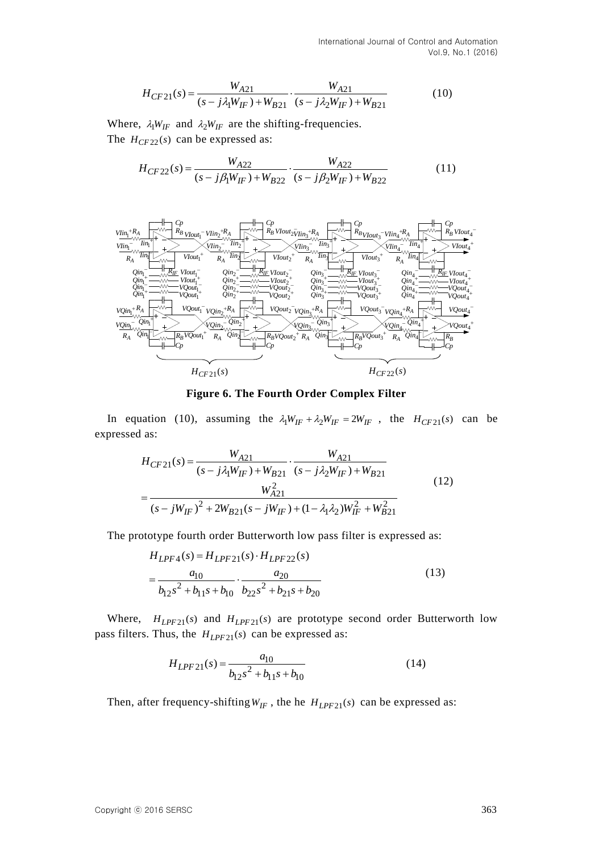International Journal of Control and Automation Vol.9, No.1 (2016)

$$
H_{CF21}(s) = \frac{W_{A21}}{(s - j\lambda_1 W_{IF}) + W_{B21}} \cdot \frac{W_{A21}}{(s - j\lambda_2 W_{IF}) + W_{B21}}
$$
(10)

Where,  $\lambda_1 W_{IF}$  and  $\lambda_2 W_{IF}$  are the shifting-frequencies.

The 
$$
H_{CF22}(s)
$$
 can be expressed as:  
\n
$$
H_{CF22}(s) = \frac{W_{A22}}{(s - j\beta_1 W_{IF}) + W_{B22}} \cdot \frac{W_{A22}}{(s - j\beta_2 W_{IF}) + W_{B22}}
$$
\n(11)



**Figure 6. The Fourth Order Complex Filter**

In equation (10), assuming the  $\lambda_1 W_{IF} + \lambda_2 W_{IF} = 2W_{IF}$ , the  $H_{CF21}(s)$  can be expressed as:

1 as:  
\n
$$
H_{CF21}(s) = \frac{W_{A21}}{(s - j\lambda_1 W_{IF}) + W_{B21}} \cdot \frac{W_{A21}}{(s - j\lambda_2 W_{IF}) + W_{B21}}
$$
\n
$$
= \frac{W_{A21}^2}{(s - jW_{IF})^2 + 2W_{B21}(s - jW_{IF}) + (1 - \lambda_1 \lambda_2)W_{IF}^2 + W_{B21}^2}
$$
\n(12)

The prototype fourth order Butterworth low pass filter is expressed as:  
\n
$$
H_{LPF4}(s) = H_{LPF21}(s) \cdot H_{LPF22}(s)
$$
\n
$$
= \frac{a_{10}}{b_{12}s^2 + b_{11}s + b_{10}} \cdot \frac{a_{20}}{b_{22}s^2 + b_{21}s + b_{20}}
$$
\n(13)

Where,  $H_{LPF21}(s)$  and  $H_{LPF21}(s)$  are prototype second order Butterworth low pass filters. Thus, the  $H_{LPF21}(s)$  can be expressed as:

$$
H_{LPF21}(s) = \frac{a_{10}}{b_{12}s^2 + b_{11}s + b_{10}}
$$
 (14)

Then, after frequency-shifting  $W_{IF}$ , the he  $H_{LPF21}(s)$  can be expressed as: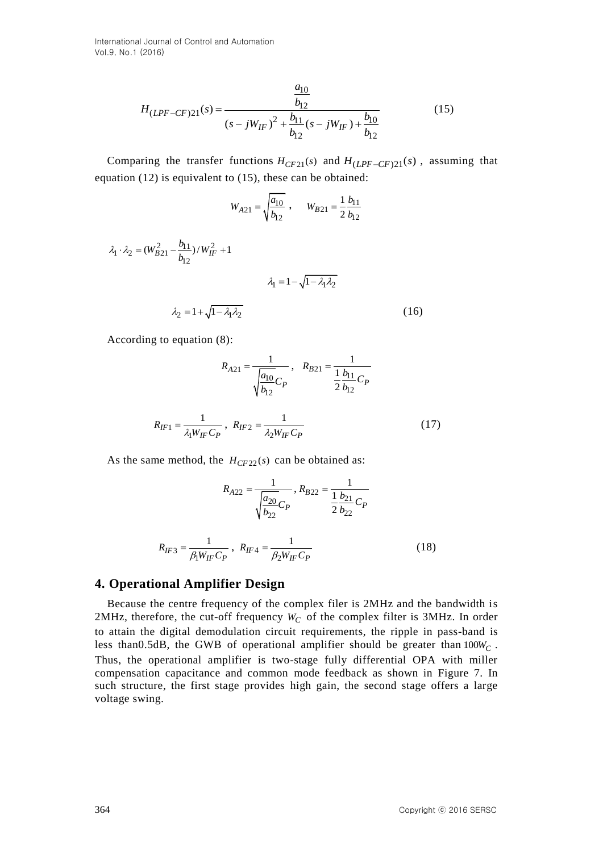International Journal of Control and Automation Vol.9, No.1 (2016)

$$
H_{(LPF-CF)21}(s) = \frac{\frac{a_{10}}{b_{12}}}{(s - jW_{IF})^2 + \frac{b_{11}}{b_{12}}(s - jW_{IF}) + \frac{b_{10}}{b_{12}}}
$$
(15)

Comparing the transfer functions  $H_{CF21}(s)$  and  $H_{(LPF-CF)21}(s)$ , assuming that equation (12) is equivalent to (15), these can be obtained:

$$
W_{A21} = \sqrt{\frac{a_{10}}{b_{12}}} , \qquad W_{B21} = \frac{1}{2} \frac{b_{11}}{b_{12}}
$$

$$
\lambda_1 \cdot \lambda_2 = (W_{B21}^2 - \frac{b_{11}}{b_{12}}) / W_{IF}^2 + 1
$$
  

$$
\lambda_1 = 1 - \sqrt{1 - \lambda_1 \lambda_2}
$$
  

$$
\lambda_2 = 1 + \sqrt{1 - \lambda_1 \lambda_2}
$$
 (16)

According to equation (8):

$$
R_{A21} = \frac{1}{\sqrt{\frac{a_{10}}{b_{12}}C_P}}, R_{B21} = \frac{1}{\frac{1}{2}\frac{b_{11}}{b_{12}}C_P}
$$

$$
R_{IF1} = \frac{1}{\lambda_1 W_{IF}C_P}, R_{IF2} = \frac{1}{\lambda_2 W_{IF}C_P}
$$
(17)

As the same method, the  $H_{CF22}(s)$  can be obtained as:

$$
R_{A22} = \frac{1}{\sqrt{\frac{a_{20}}{b_{22}}} C_P}, R_{B22} = \frac{1}{\frac{1}{2} \frac{b_{21}}{b_{22}}} C_P
$$
  

$$
R_{IF3} = \frac{1}{\beta_1 W_{IF} C_P}, R_{IF4} = \frac{1}{\beta_2 W_{IF} C_P}
$$
 (18)

#### **4. Operational Amplifier Design**

Because the centre frequency of the complex filer is 2MHz and the bandwidth is 2MHz, therefore, the cut-off frequency  $W_C$  of the complex filter is 3MHz. In order to attain the digital demodulation circuit requirements, the ripple in pass-band is less than0.5dB, the GWB of operational amplifier should be greater than 100*W<sup>C</sup>* . Thus, the operational amplifier is two-stage fully differential OPA with miller compensation capacitance and common mode feedback as shown in Figure 7. In such structure, the first stage provides high gain, the second stage offers a large voltage swing.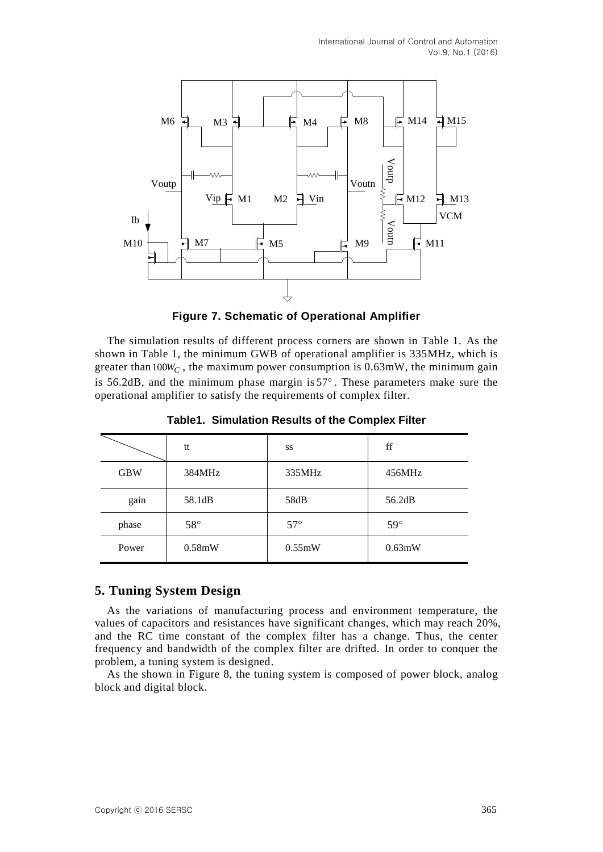

**Figure 7. Schematic of Operational Amplifier**

The simulation results of different process corners are shown in Table 1. As the shown in Table 1, the minimum GWB of operational amplifier is 335MHz, which is greater than  $100W_C$ , the maximum power consumption is  $0.63$ mW, the minimum gain is  $56.2$ dB, and the minimum phase margin is  $57^\circ$ . These parameters make sure the operational amplifier to satisfy the requirements of complex filter.

|            | tt           | SS         | ff         |
|------------|--------------|------------|------------|
| <b>GBW</b> | 384MHz       | 335MHz     | 456MHz     |
| gain       | 58.1dB       | 58dB       | 56.2dB     |
| phase      | $58^{\circ}$ | $57^\circ$ | $59^\circ$ |
| Power      | 0.58mW       | 0.55mW     | 0.63mW     |

**Table1. Simulation Results of the Complex Filter**

# **5. Tuning System Design**

As the variations of manufacturing process and environment temperature, the values of capacitors and resistances have significant changes, which may reach 20%, and the RC time constant of the complex filter has a change. Thus, the center frequency and bandwidth of the complex filter are drifted. In order to conquer the problem, a tuning system is designed.

As the shown in Figure 8, the tuning system is composed of power block, analog block and digital block.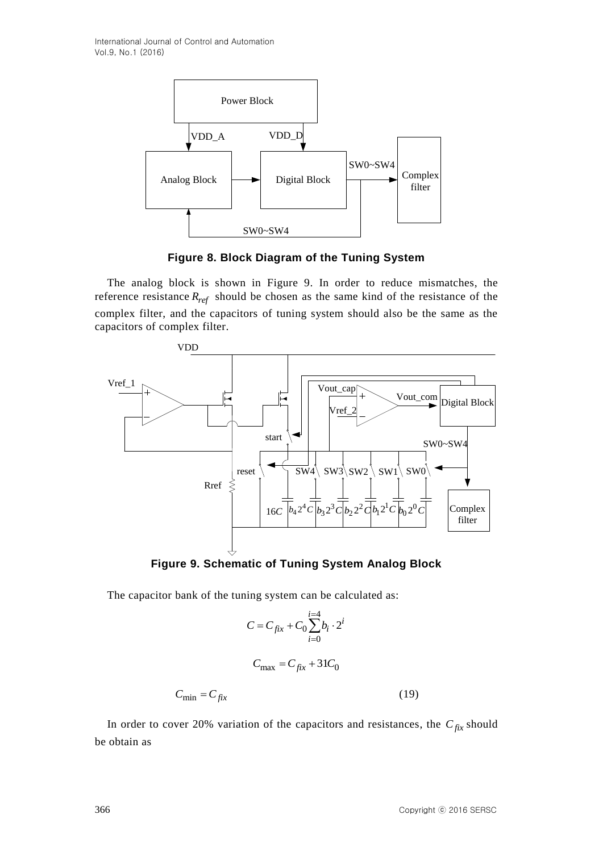

**Figure 8. Block Diagram of the Tuning System**

The analog block is shown in Figure 9. In order to reduce mismatches, the reference resistance *Rref* should be chosen as the same kind of the resistance of the complex filter, and the capacitors of tuning system should also be the same as the capacitors of complex filter.



**Figure 9. Schematic of Tuning System Analog Block**

The capacitor bank of the tuning system can be calculated as:

$$
C = C_{fix} + C_0 \sum_{i=0}^{i=4} b_i \cdot 2^i
$$

$$
C_{\text{max}} = C_{fix} + 31C_0
$$

$$
C_{\text{min}} = C_{fix} \tag{19}
$$

In order to cover 20% variation of the capacitors and resistances, the  $C_{fix}$  should be obtain as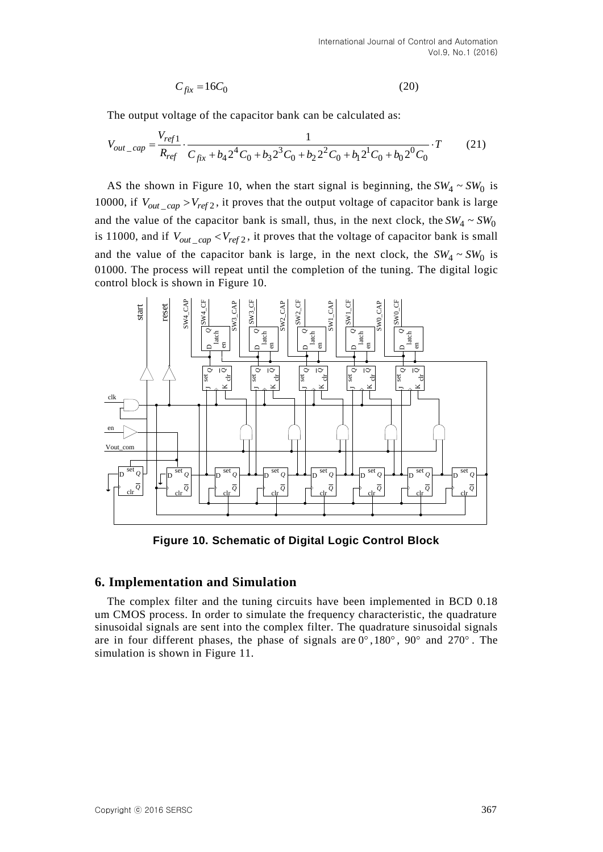$$
C_{fix} = 16C_0 \tag{20}
$$

The output voltage of the capacitor bank can be calculated as:  
\n
$$
V_{out\_cap} = \frac{V_{ref1}}{R_{ref}} \cdot \frac{1}{C_{fix} + b_4 2^4 C_0 + b_3 2^3 C_0 + b_2 2^2 C_0 + b_1 2^1 C_0 + b_0 2^0 C_0} \cdot T
$$
\n(21)

AS the shown in Figure 10, when the start signal is beginning, the  $SW_4 \sim SW_0$  is 10000, if  $V_{out\_cap} > V_{ref2}$ , it proves that the output voltage of capacitor bank is large and the value of the capacitor bank is small, thus, in the next clock, the  $SW_4 \sim SW_0$ is 11000, and if  $V_{out\_cap}$  <  $V_{ref2}$ , it proves that the voltage of capacitor bank is small and the value of the capacitor bank is large, in the next clock, the  $SW_4 \sim SW_0$  is 01000. The process will repeat until the completion of the tuning. The digital logic control block is shown in Figure 10.



**Figure 10. Schematic of Digital Logic Control Block**

# **6. Implementation and Simulation**

The complex filter and the tuning circuits have been implemented in BCD 0.18 um CMOS process. In order to simulate the frequency characteristic, the quadrature sinusoidal signals are sent into the complex filter. The quadrature sinusoidal signals are in four different phases, the phase of signals are  $0^\circ$ , 180 $^\circ$ , 90 $^\circ$  and 270 $^\circ$ . The simulation is shown in Figure 11.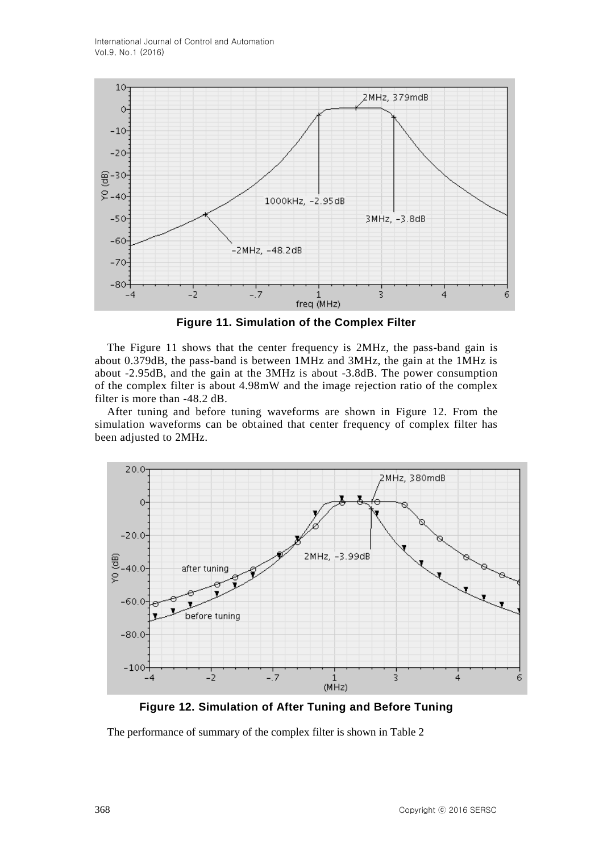

**Figure 11. Simulation of the Complex Filter**

The Figure 11 shows that the center frequency is 2MHz, the pass-band gain is about 0.379dB, the pass-band is between 1MHz and 3MHz, the gain at the 1MHz is about -2.95dB, and the gain at the 3MHz is about -3.8dB. The power consumption of the complex filter is about 4.98mW and the image rejection ratio of the complex filter is more than -48.2 dB.

After tuning and before tuning waveforms are shown in Figure 12. From the simulation waveforms can be obtained that center frequency of complex filter has been adjusted to 2MHz.



**Figure 12. Simulation of After Tuning and Before Tuning**

The performance of summary of the complex filter is shown in Table 2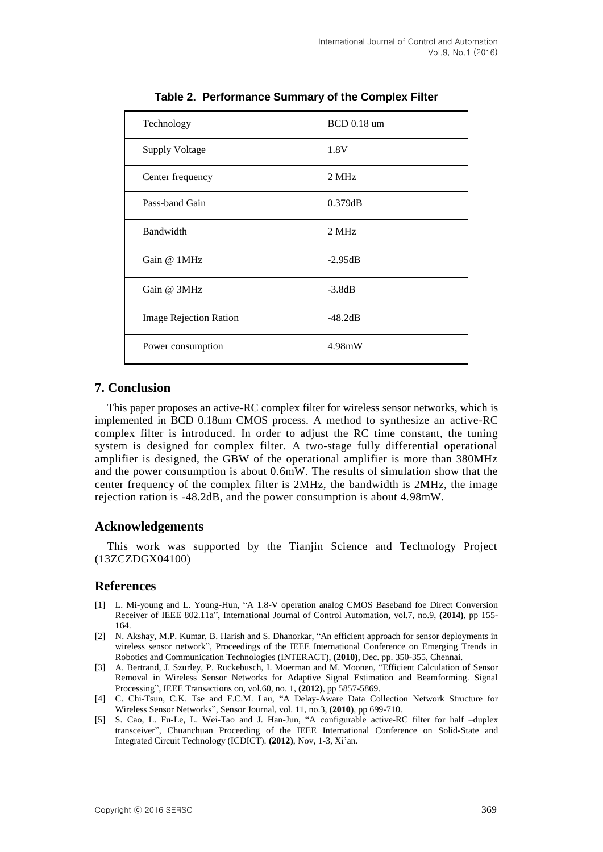| Technology                    | <b>BCD</b> 0.18 um |  |
|-------------------------------|--------------------|--|
| <b>Supply Voltage</b>         | 1.8V               |  |
| Center frequency              | 2 MHz              |  |
| Pass-band Gain                | 0.379dB            |  |
| Bandwidth                     | 2 MHz              |  |
| Gain @ 1MHz                   | $-2.95dB$          |  |
| Gain @ 3MHz                   | $-3.8dB$           |  |
| <b>Image Rejection Ration</b> | $-48.2dB$          |  |
| Power consumption             | 4.98mW             |  |

**Table 2. Performance Summary of the Complex Filter**

# **7. Conclusion**

This paper proposes an active-RC complex filter for wireless sensor networks, which is implemented in BCD 0.18um CMOS process. A method to synthesize an active-RC complex filter is introduced. In order to adjust the RC time constant, the tuning system is designed for complex filter. A two-stage fully differential operational amplifier is designed, the GBW of the operational amplifier is more than 380MHz and the power consumption is about 0.6mW. The results of simulation show that the center frequency of the complex filter is 2MHz, the bandwidth is 2MHz, the image rejection ration is -48.2dB, and the power consumption is about 4.98mW.

# **Acknowledgements**

This work was supported by the Tianjin Science and Technology Project (13ZCZDGX04100)

# **References**

- [1] L. Mi-young and L. Young-Hun, "A 1.8-V operation analog CMOS Baseband foe Direct Conversion Receiver of IEEE 802.11a", International Journal of Control Automation, vol.7, no.9, **(2014)**, pp 155- 164.
- [2] N. Akshay, M.P. Kumar, B. Harish and S. Dhanorkar, "An efficient approach for sensor deployments in wireless sensor network", Proceedings of the IEEE International Conference on Emerging Trends in Robotics and Communication Technologies (INTERACT), **(2010)**, Dec. pp. 350-355, Chennai.
- [3] A. Bertrand, J. Szurley, P. Ruckebusch, I. Moerman and M. Moonen, "Efficient Calculation of Sensor Removal in Wireless Sensor Networks for Adaptive Signal Estimation and Beamforming. Signal Processing", IEEE Transactions on, vol.60, no. 1, **(2012)**, pp 5857-5869.
- [4] C. Chi-Tsun, C.K. Tse and F.C.M. Lau, "A Delay-Aware Data Collection Network Structure for Wireless Sensor Networks", Sensor Journal, vol. 11, no.3, **(2010)**, pp 699-710.
- [5] S. Cao, L. Fu-Le, L. Wei-Tao and J. Han-Jun, "A configurable active-RC filter for half –duplex transceiver", Chuanchuan Proceeding of the IEEE International Conference on Solid-State and Integrated Circuit Technology (ICDICT). **(2012)**, Nov, 1-3, Xi'an.